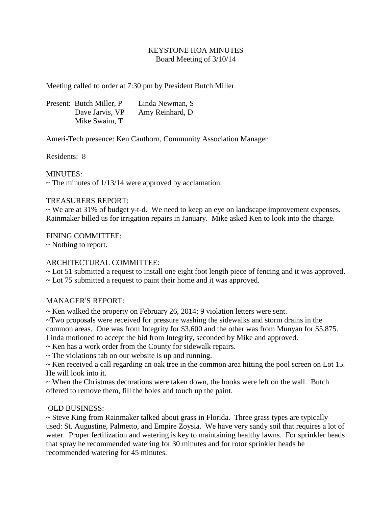# KEYSTONE HOA MINUTES Board Meeting of 3/10/14

Meeting called to order at 7:30 pm by President Butch Miller

Present: Butch Miller, P Linda Newman, S Dave Jarvis, VP Amy Reinhard, D Mike Swaim, T

Ameri-Tech presence: Ken Cauthorn, Community Association Manager

Residents: 8

MINUTES:

 $\sim$  The minutes of 1/13/14 were approved by acclamation.

#### TREASURERS REPORT:

~ We are at 31% of budget y-t-d. We need to keep an eye on landscape improvement expenses. Rainmaker billed us for irrigation repairs in January. Mike asked Ken to look into the charge.

#### FINING COMMITTEE:

~ Nothing to report.

## ARCHITECTURAL COMMITTEE:

~ Lot 51 submitted a request to install one eight foot length piece of fencing and it was approved.

 $\sim$  Lot 75 submitted a request to paint their home and it was approved.

## MANAGER'S REPORT:

 $\sim$  Ken walked the property on February 26, 2014; 9 violation letters were sent.

~Two proposals were received for pressure washing the sidewalks and storm drains in the common areas. One was from Integrity for \$3,600 and the other was from Munyan for \$5,875. Linda motioned to accept the bid from Integrity, seconded by Mike and approved.

- ~ Ken has a work order from the County for sidewalk repairs.
- ~ The violations tab on our website is up and running.

~ Ken received a call regarding an oak tree in the common area hitting the pool screen on Lot 15. He will look into it.

 $\sim$  When the Christmas decorations were taken down, the hooks were left on the wall. Butch offered to remove them, fill the holes and touch up the paint.

## OLD BUSINESS:

~ Steve King from Rainmaker talked about grass in Florida. Three grass types are typically used: St. Augustine, Palmetto, and Empire Zoysia. We have very sandy soil that requires a lot of water. Proper fertilization and watering is key to maintaining healthy lawns. For sprinkler heads that spray he recommended watering for 30 minutes and for rotor sprinkler heads he recommended watering for 45 minutes.